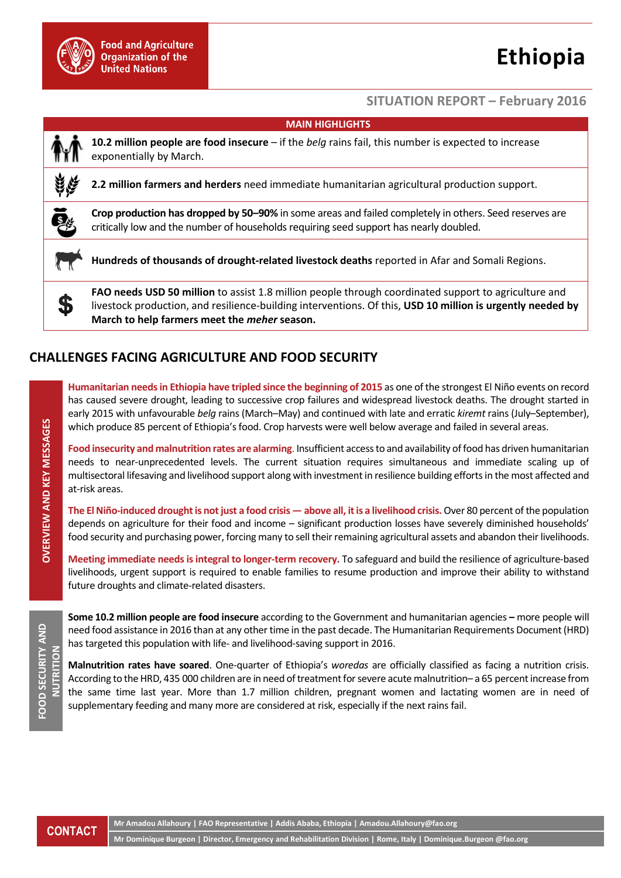

# **Ethiopia**

#### **SITUATION REPORT – February 2016**

| <b>MAIN HIGHLIGHTS</b> |                                                                                                                                                                                                                                                                           |
|------------------------|---------------------------------------------------------------------------------------------------------------------------------------------------------------------------------------------------------------------------------------------------------------------------|
|                        | 10.2 million people are food insecure $-$ if the belg rains fail, this number is expected to increase<br>exponentially by March.                                                                                                                                          |
|                        | 2.2 million farmers and herders need immediate humanitarian agricultural production support.                                                                                                                                                                              |
| ē.                     | Crop production has dropped by 50–90% in some areas and failed completely in others. Seed reserves are<br>critically low and the number of households requiring seed support has nearly doubled.                                                                          |
|                        | Hundreds of thousands of drought-related livestock deaths reported in Afar and Somali Regions.                                                                                                                                                                            |
|                        | <b>FAO needs USD 50 million</b> to assist 1.8 million people through coordinated support to agriculture and<br>livestock production, and resilience-building interventions. Of this, USD 10 million is urgently needed by<br>March to help farmers meet the meher season. |
|                        |                                                                                                                                                                                                                                                                           |

## **CHALLENGES FACING AGRICULTURE AND FOOD SECURITY**

**Humanitarian needs in Ethiopia have tripled since the beginning of 2015** as one of the strongest El Niño events on record has caused severe drought, leading to successive crop failures and widespread livestock deaths. The drought started in early 2015 with unfavourable *belg* rains (March–May) and continued with late and erratic *kiremt* rains (July–September), which produce 85 percent of Ethiopia's food. Crop harvests were well below average and failed in several areas.

**Food insecurity and malnutrition rates are alarming**. Insufficient access to and availability of food has driven humanitarian needs to near-unprecedented levels. The current situation requires simultaneous and immediate scaling up of multisectoral lifesaving and livelihood support along with investment in resilience building efforts in the most affected and at-risk areas.

**The El Niño-induced drought is not just a food crisis — above all, it is a livelihood crisis.** Over 80 percent of the population depends on agriculture for their food and income – significant production losses have severely diminished households' food security and purchasing power, forcing many to sell their remaining agricultural assets and abandon their livelihoods.

**Meeting immediate needs is integral to longer-term recovery.** To safeguard and build the resilience of agriculture-based livelihoods, urgent support is required to enable families to resume production and improve their ability to withstand future droughts and climate-related disasters.

**Some 10.2 million people are food insecure** according to the Government and humanitarian agencies **–** more people will need food assistance in 2016 than at any other time in the past decade. The Humanitarian Requirements Document (HRD) has targeted this population with life- and livelihood-saving support in 2016.

**Malnutrition rates have soared**. One-quarter of Ethiopia's *woredas* are officially classified as facing a nutrition crisis. According to the HRD, 435 000 children are in need of treatment for severe acute malnutrition– a 65 percent increase from the same time last year. More than 1.7 million children, pregnant women and lactating women are in need of supplementary feeding and many more are considered at risk, especially if the next rains fail.

**CONTACT**

**Mr Amadou Allahoury | FAO Representative | Addis Ababa, Ethiopia | Amadou.Allahoury@fao.org** 

**Mr Dominique Burgeon | Director, Emergency and Rehabilitation Division | Rome, Italy | Dominique.Burgeon @fao.org**